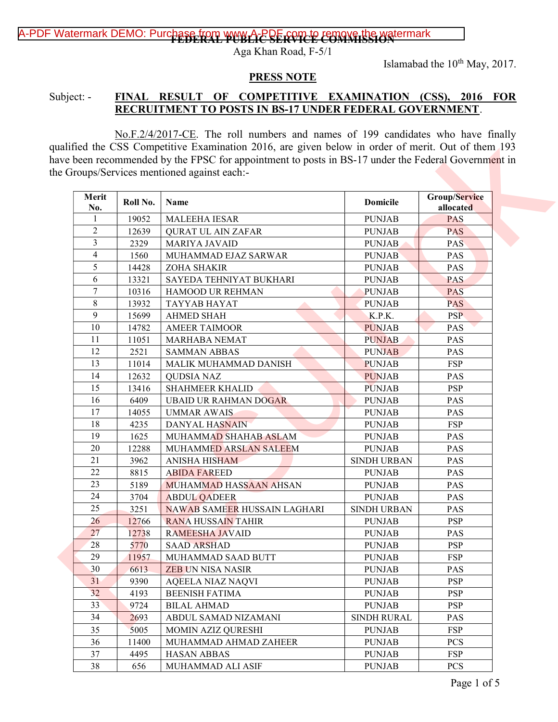## A-PDF Watermark DEMO: Purchase from www.A-PDF COMMISSION ermark

Aga Khan Road, F-5/1

Islamabad the 10<sup>th</sup> May, 2017.

#### PRESS NOTE

### Subject: - FINAL RESULT OF COMPETITIVE EXAMINATION (CSS), 2016 FOR RECRUITMENT TO POSTS IN BS-17 UNDER FEDERAL GOVERNMENT.

| Merit           |          |                                     |                    | Group/Service |
|-----------------|----------|-------------------------------------|--------------------|---------------|
| No.             | Roll No. | Name                                | <b>Domicile</b>    | allocated     |
| $\mathbf{1}$    | 19052    | MALEEHA IESAR                       | <b>PUNJAB</b>      | <b>PAS</b>    |
| $\overline{2}$  | 12639    | <b>QURAT UL AIN ZAFAR</b>           | <b>PUNJAB</b>      | <b>PAS</b>    |
| 3               | 2329     | <b>MARIYA JAVAID</b>                | <b>PUNJAB</b>      | <b>PAS</b>    |
| 4               | 1560     | MUHAMMAD EJAZ SARWAR                | <b>PUNJAB</b>      | PAS           |
| 5               | 14428    | ZOHA SHAKIR                         | <b>PUNJAB</b>      | PAS           |
| 6               | 13321    | SAYEDA TEHNIYAT BUKHARI             | <b>PUNJAB</b>      | <b>PAS</b>    |
| 7               | 10316    | HAMOOD UR REHMAN                    | <b>PUNJAB</b>      | PAS           |
| $8\,$           | 13932    | TAYYAB HAYAT                        | <b>PUNJAB</b>      | <b>PAS</b>    |
| 9               | 15699    | <b>AHMED SHAH</b>                   | K.P.K.             | <b>PSP</b>    |
| 10              | 14782    | <b>AMEER TAIMOOR</b>                | <b>PUNJAB</b>      | <b>PAS</b>    |
| 11              | 11051    | MARHABA NEMAT                       | <b>PUNJAB</b>      | <b>PAS</b>    |
| 12              | 2521     | <b>SAMMAN ABBAS</b>                 | <b>PUNJAB</b>      | PAS           |
| 13              | 11014    | MALIK MUHAMMAD DANISH               | <b>PUNJAB</b>      | <b>FSP</b>    |
| 14              | 12632    | <b>QUDSIA NAZ</b>                   | <b>PUNJAB</b>      | PAS           |
| 15              | 13416    | <b>SHAHMEER KHALID</b>              | <b>PUNJAB</b>      | <b>PSP</b>    |
| 16              | 6409     | <b>UBAID UR RAHMAN DOGAR</b>        | <b>PUNJAB</b>      | PAS           |
| 17              | 14055    | <b>UMMAR AWAIS</b>                  | <b>PUNJAB</b>      | PAS           |
| 18              | 4235     | <b>DANYAL HASNAIN</b>               | <b>PUNJAB</b>      | <b>FSP</b>    |
| 19              | 1625     | MUHAMMAD SHAHAB ASLAM               | <b>PUNJAB</b>      | PAS           |
| 20              | 12288    | MUHAMMED ARSLAN SALEEM              | <b>PUNJAB</b>      | <b>PAS</b>    |
| 21              | 3962     | <b>ANISHA HISHAM</b>                | <b>SINDH URBAN</b> | PAS           |
| 22              | 8815     | <b>ABIDA FAREED</b>                 | <b>PUNJAB</b>      | <b>PAS</b>    |
| 23              | 5189     | <b>MUHAMMAD HASSAAN AHSAN</b>       | <b>PUNJAB</b>      | PAS           |
| 24              | 3704     | <b>ABDUL QADEER</b>                 | <b>PUNJAB</b>      | PAS           |
| 25              | 3251     | <b>NAWAB SAMEER HUSSAIN LAGHARI</b> | SINDH URBAN        | PAS           |
| 26              | 12766    | <b>RANA HUSSAIN TAHIR</b>           | <b>PUNJAB</b>      | <b>PSP</b>    |
| 27              | 12738    | RAMEESHA JAVAID                     | <b>PUNJAB</b>      | PAS           |
| 28              | 5770     | <b>SAAD ARSHAD</b>                  | <b>PUNJAB</b>      | <b>PSP</b>    |
| 29              | 11957    | MUHAMMAD SAAD BUTT                  | <b>PUNJAB</b>      | <b>FSP</b>    |
| 30              | 6613     | <b>ZEB UN NISA NASIR</b>            | <b>PUNJAB</b>      | <b>PAS</b>    |
| 31              | 9390     | <b>AQEELA NIAZ NAQVI</b>            | <b>PUNJAB</b>      | <b>PSP</b>    |
| 32              | 4193     | <b>BEENISH FATIMA</b>               | <b>PUNJAB</b>      | <b>PSP</b>    |
| 33 <sup>°</sup> | 9724     | <b>BILAL AHMAD</b>                  | <b>PUNJAB</b>      | <b>PSP</b>    |
| 34              | 2693     | ABDUL SAMAD NIZAMANI                | <b>SINDH RURAL</b> | <b>PAS</b>    |
| 35              | 5005     | MOMIN AZIZ QURESHI                  | <b>PUNJAB</b>      | <b>FSP</b>    |
| 36              | 11400    | MUHAMMAD AHMAD ZAHEER               | <b>PUNJAB</b>      | <b>PCS</b>    |
| 37              | 4495     | <b>HASAN ABBAS</b>                  | <b>PUNJAB</b>      | <b>FSP</b>    |
| 38              | 656      | MUHAMMAD ALI ASIF                   | <b>PUNJAB</b>      | <b>PCS</b>    |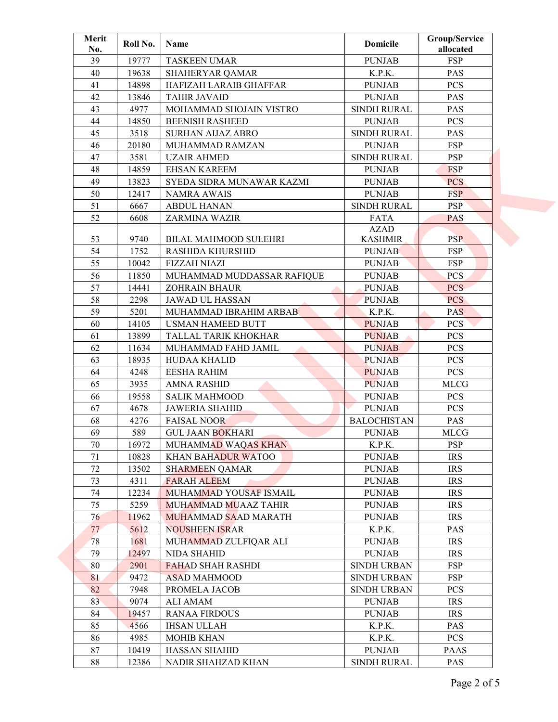| 39<br><b>FSP</b><br>19777<br><b>PUNJAB</b><br><b>TASKEEN UMAR</b><br>40<br>K.P.K.<br>19638<br>PAS<br><b>SHAHERYAR QAMAR</b><br>41<br>14898<br>HAFIZAH LARAIB GHAFFAR<br><b>PUNJAB</b><br><b>PCS</b><br>42<br>13846<br><b>TAHIR JAVAID</b><br><b>PUNJAB</b><br><b>PAS</b><br>43<br>4977<br>MOHAMMAD SHOJAIN VISTRO<br><b>SINDH RURAL</b><br>PAS<br>44<br><b>BEENISH RASHEED</b><br><b>PUNJAB</b><br><b>PCS</b><br>14850<br>45<br>3518<br>SINDH RURAL<br>PAS<br><b>SURHAN AIJAZ ABRO</b><br>46<br><b>FSP</b><br>20180<br>MUHAMMAD RAMZAN<br><b>PUNJAB</b><br>47<br>3581<br><b>PSP</b><br><b>UZAIR AHMED</b><br><b>SINDH RURAL</b><br>48<br><b>FSP</b><br>14859<br><b>EHSAN KAREEM</b><br><b>PUNJAB</b><br>49<br><b>PCS</b><br>13823<br>SYEDA SIDRA MUNAWAR KAZMI<br><b>PUNJAB</b><br>50<br><b>FSP</b><br>12417<br><b>NAMRA AWAIS</b><br><b>PUNJAB</b><br>51<br><b>PSP</b><br>6667<br><b>ABDUL HANAN</b><br><b>SINDH RURAL</b><br>52<br>6608<br>ZARMINA WAZIR<br><b>FATA</b><br><b>PAS</b><br><b>AZAD</b><br><b>PSP</b><br>53<br>9740<br><b>BILAL MAHMOOD SULEHRI</b><br><b>KASHMIR</b><br>54<br><b>FSP</b><br>1752<br><b>RASHIDA KHURSHID</b><br><b>PUNJAB</b><br>55<br>10042<br><b>FSP</b><br><b>FIZZAH NIAZI</b><br><b>PUNJAB</b><br>56<br>11850<br>MUHAMMAD MUDDASSAR RAFIQUE<br><b>PUNJAB</b><br>PCS<br>57<br>14441<br><b>ZOHRAIN BHAUR</b><br><b>PUNJAB</b><br>PCS<br>58<br>2298<br><b>PCS</b><br><b>JAWAD UL HASSAN</b><br><b>PUNJAB</b><br>59<br>K.P.K.<br><b>PAS</b><br>5201<br>MUHAMMAD IBRAHIM ARBAB<br>60<br><b>USMAN HAMEED BUTT</b><br><b>PUNJAB</b><br><b>PCS</b><br>14105<br>61<br>13899<br>TALLAL TARIK KHOKHAR<br><b>PUNJAB</b><br><b>PCS</b><br>62<br><b>PCS</b><br>11634<br>MUHAMMAD FAHD JAMIL<br><b>PUNJAB</b><br>63<br>18935<br><b>HUDAA KHALID</b><br><b>PUNJAB</b><br><b>PCS</b><br>64<br>PCS<br>4248<br><b>EESHA RAHIM</b><br><b>PUNJAB</b><br>65<br>3935<br><b>PUNJAB</b><br><b>MLCG</b><br><b>AMNA RASHID</b><br>66<br>19558<br><b>SALIK MAHMOOD</b><br><b>PUNJAB</b><br><b>PCS</b><br>67<br><b>JAWERIA SHAHID</b><br><b>PCS</b><br>4678<br><b>PUNJAB</b><br>68<br><b>BALOCHISTAN</b><br>PAS<br>4276<br><b>FAISAL NOOR</b><br>69<br>589<br><b>GUL JAAN BOKHARI</b><br><b>PUNJAB</b><br><b>MLCG</b><br><b>PSP</b><br>70<br>16972<br>MUHAMMAD WAQAS KHAN<br>K.P.K.<br>71<br>10828<br><b>PUNJAB</b><br><b>IRS</b><br><b>KHAN BAHADUR WATOO</b><br><b>IRS</b><br>72<br>13502<br><b>PUNJAB</b><br><b>SHARMEEN OAMAR</b><br>73<br><b>FARAH ALEEM</b><br><b>PUNJAB</b><br><b>IRS</b><br>4311<br>74<br>12234<br><b>PUNJAB</b><br><b>IRS</b><br>MUHAMMAD YOUSAF ISMAIL<br>75<br>5259<br>MUHAMMAD MUAAZ TAHIR<br><b>PUNJAB</b><br><b>IRS</b><br>76<br>11962<br>MUHAMMAD SAAD MARATH<br><b>PUNJAB</b><br><b>IRS</b><br>77<br>5612<br><b>NOUSHEEN ISRAR</b><br>K.P.K.<br><b>PAS</b><br>78<br><b>IRS</b><br>1681<br>MUHAMMAD ZULFIQAR ALI<br><b>PUNJAB</b><br>79<br>12497<br><b>NIDA SHAHID</b><br><b>PUNJAB</b><br><b>IRS</b><br>80<br><b>FSP</b><br>2901<br><b>FAHAD SHAH RASHDI</b><br>SINDH URBAN<br>81<br><b>FSP</b><br>9472<br><b>ASAD MAHMOOD</b><br><b>SINDH URBAN</b><br>82<br>7948<br>PROMELA JACOB<br><b>SINDH URBAN</b><br>PCS<br>83<br><b>IRS</b><br>9074<br>ALI AMAM<br><b>PUNJAB</b><br><b>RANAA FIRDOUS</b><br><b>PUNJAB</b><br><b>IRS</b><br>84<br>19457<br>85<br>4566<br><b>IHSAN ULLAH</b><br>K.P.K.<br><b>PAS</b><br>86<br>4985<br><b>MOHIB KHAN</b><br>K.P.K.<br><b>PCS</b> | Merit<br>No. | Roll No. | Name                 | <b>Domicile</b> | Group/Service<br>allocated |  |
|--------------------------------------------------------------------------------------------------------------------------------------------------------------------------------------------------------------------------------------------------------------------------------------------------------------------------------------------------------------------------------------------------------------------------------------------------------------------------------------------------------------------------------------------------------------------------------------------------------------------------------------------------------------------------------------------------------------------------------------------------------------------------------------------------------------------------------------------------------------------------------------------------------------------------------------------------------------------------------------------------------------------------------------------------------------------------------------------------------------------------------------------------------------------------------------------------------------------------------------------------------------------------------------------------------------------------------------------------------------------------------------------------------------------------------------------------------------------------------------------------------------------------------------------------------------------------------------------------------------------------------------------------------------------------------------------------------------------------------------------------------------------------------------------------------------------------------------------------------------------------------------------------------------------------------------------------------------------------------------------------------------------------------------------------------------------------------------------------------------------------------------------------------------------------------------------------------------------------------------------------------------------------------------------------------------------------------------------------------------------------------------------------------------------------------------------------------------------------------------------------------------------------------------------------------------------------------------------------------------------------------------------------------------------------------------------------------------------------------------------------------------------------------------------------------------------------------------------------------------------------------------------------------------------------------------------------------------------------------------------------------------------------------------------------------------------------------------------------------------------------------------------------------------------------------------------------------------------------------------------------------------------------------------------------------------------------------------------------------------------------------------------------------------|--------------|----------|----------------------|-----------------|----------------------------|--|
|                                                                                                                                                                                                                                                                                                                                                                                                                                                                                                                                                                                                                                                                                                                                                                                                                                                                                                                                                                                                                                                                                                                                                                                                                                                                                                                                                                                                                                                                                                                                                                                                                                                                                                                                                                                                                                                                                                                                                                                                                                                                                                                                                                                                                                                                                                                                                                                                                                                                                                                                                                                                                                                                                                                                                                                                                                                                                                                                                                                                                                                                                                                                                                                                                                                                                                                                                                                                              |              |          |                      |                 |                            |  |
|                                                                                                                                                                                                                                                                                                                                                                                                                                                                                                                                                                                                                                                                                                                                                                                                                                                                                                                                                                                                                                                                                                                                                                                                                                                                                                                                                                                                                                                                                                                                                                                                                                                                                                                                                                                                                                                                                                                                                                                                                                                                                                                                                                                                                                                                                                                                                                                                                                                                                                                                                                                                                                                                                                                                                                                                                                                                                                                                                                                                                                                                                                                                                                                                                                                                                                                                                                                                              |              |          |                      |                 |                            |  |
|                                                                                                                                                                                                                                                                                                                                                                                                                                                                                                                                                                                                                                                                                                                                                                                                                                                                                                                                                                                                                                                                                                                                                                                                                                                                                                                                                                                                                                                                                                                                                                                                                                                                                                                                                                                                                                                                                                                                                                                                                                                                                                                                                                                                                                                                                                                                                                                                                                                                                                                                                                                                                                                                                                                                                                                                                                                                                                                                                                                                                                                                                                                                                                                                                                                                                                                                                                                                              |              |          |                      |                 |                            |  |
|                                                                                                                                                                                                                                                                                                                                                                                                                                                                                                                                                                                                                                                                                                                                                                                                                                                                                                                                                                                                                                                                                                                                                                                                                                                                                                                                                                                                                                                                                                                                                                                                                                                                                                                                                                                                                                                                                                                                                                                                                                                                                                                                                                                                                                                                                                                                                                                                                                                                                                                                                                                                                                                                                                                                                                                                                                                                                                                                                                                                                                                                                                                                                                                                                                                                                                                                                                                                              |              |          |                      |                 |                            |  |
|                                                                                                                                                                                                                                                                                                                                                                                                                                                                                                                                                                                                                                                                                                                                                                                                                                                                                                                                                                                                                                                                                                                                                                                                                                                                                                                                                                                                                                                                                                                                                                                                                                                                                                                                                                                                                                                                                                                                                                                                                                                                                                                                                                                                                                                                                                                                                                                                                                                                                                                                                                                                                                                                                                                                                                                                                                                                                                                                                                                                                                                                                                                                                                                                                                                                                                                                                                                                              |              |          |                      |                 |                            |  |
|                                                                                                                                                                                                                                                                                                                                                                                                                                                                                                                                                                                                                                                                                                                                                                                                                                                                                                                                                                                                                                                                                                                                                                                                                                                                                                                                                                                                                                                                                                                                                                                                                                                                                                                                                                                                                                                                                                                                                                                                                                                                                                                                                                                                                                                                                                                                                                                                                                                                                                                                                                                                                                                                                                                                                                                                                                                                                                                                                                                                                                                                                                                                                                                                                                                                                                                                                                                                              |              |          |                      |                 |                            |  |
|                                                                                                                                                                                                                                                                                                                                                                                                                                                                                                                                                                                                                                                                                                                                                                                                                                                                                                                                                                                                                                                                                                                                                                                                                                                                                                                                                                                                                                                                                                                                                                                                                                                                                                                                                                                                                                                                                                                                                                                                                                                                                                                                                                                                                                                                                                                                                                                                                                                                                                                                                                                                                                                                                                                                                                                                                                                                                                                                                                                                                                                                                                                                                                                                                                                                                                                                                                                                              |              |          |                      |                 |                            |  |
|                                                                                                                                                                                                                                                                                                                                                                                                                                                                                                                                                                                                                                                                                                                                                                                                                                                                                                                                                                                                                                                                                                                                                                                                                                                                                                                                                                                                                                                                                                                                                                                                                                                                                                                                                                                                                                                                                                                                                                                                                                                                                                                                                                                                                                                                                                                                                                                                                                                                                                                                                                                                                                                                                                                                                                                                                                                                                                                                                                                                                                                                                                                                                                                                                                                                                                                                                                                                              |              |          |                      |                 |                            |  |
|                                                                                                                                                                                                                                                                                                                                                                                                                                                                                                                                                                                                                                                                                                                                                                                                                                                                                                                                                                                                                                                                                                                                                                                                                                                                                                                                                                                                                                                                                                                                                                                                                                                                                                                                                                                                                                                                                                                                                                                                                                                                                                                                                                                                                                                                                                                                                                                                                                                                                                                                                                                                                                                                                                                                                                                                                                                                                                                                                                                                                                                                                                                                                                                                                                                                                                                                                                                                              |              |          |                      |                 |                            |  |
|                                                                                                                                                                                                                                                                                                                                                                                                                                                                                                                                                                                                                                                                                                                                                                                                                                                                                                                                                                                                                                                                                                                                                                                                                                                                                                                                                                                                                                                                                                                                                                                                                                                                                                                                                                                                                                                                                                                                                                                                                                                                                                                                                                                                                                                                                                                                                                                                                                                                                                                                                                                                                                                                                                                                                                                                                                                                                                                                                                                                                                                                                                                                                                                                                                                                                                                                                                                                              |              |          |                      |                 |                            |  |
|                                                                                                                                                                                                                                                                                                                                                                                                                                                                                                                                                                                                                                                                                                                                                                                                                                                                                                                                                                                                                                                                                                                                                                                                                                                                                                                                                                                                                                                                                                                                                                                                                                                                                                                                                                                                                                                                                                                                                                                                                                                                                                                                                                                                                                                                                                                                                                                                                                                                                                                                                                                                                                                                                                                                                                                                                                                                                                                                                                                                                                                                                                                                                                                                                                                                                                                                                                                                              |              |          |                      |                 |                            |  |
|                                                                                                                                                                                                                                                                                                                                                                                                                                                                                                                                                                                                                                                                                                                                                                                                                                                                                                                                                                                                                                                                                                                                                                                                                                                                                                                                                                                                                                                                                                                                                                                                                                                                                                                                                                                                                                                                                                                                                                                                                                                                                                                                                                                                                                                                                                                                                                                                                                                                                                                                                                                                                                                                                                                                                                                                                                                                                                                                                                                                                                                                                                                                                                                                                                                                                                                                                                                                              |              |          |                      |                 |                            |  |
|                                                                                                                                                                                                                                                                                                                                                                                                                                                                                                                                                                                                                                                                                                                                                                                                                                                                                                                                                                                                                                                                                                                                                                                                                                                                                                                                                                                                                                                                                                                                                                                                                                                                                                                                                                                                                                                                                                                                                                                                                                                                                                                                                                                                                                                                                                                                                                                                                                                                                                                                                                                                                                                                                                                                                                                                                                                                                                                                                                                                                                                                                                                                                                                                                                                                                                                                                                                                              |              |          |                      |                 |                            |  |
|                                                                                                                                                                                                                                                                                                                                                                                                                                                                                                                                                                                                                                                                                                                                                                                                                                                                                                                                                                                                                                                                                                                                                                                                                                                                                                                                                                                                                                                                                                                                                                                                                                                                                                                                                                                                                                                                                                                                                                                                                                                                                                                                                                                                                                                                                                                                                                                                                                                                                                                                                                                                                                                                                                                                                                                                                                                                                                                                                                                                                                                                                                                                                                                                                                                                                                                                                                                                              |              |          |                      |                 |                            |  |
|                                                                                                                                                                                                                                                                                                                                                                                                                                                                                                                                                                                                                                                                                                                                                                                                                                                                                                                                                                                                                                                                                                                                                                                                                                                                                                                                                                                                                                                                                                                                                                                                                                                                                                                                                                                                                                                                                                                                                                                                                                                                                                                                                                                                                                                                                                                                                                                                                                                                                                                                                                                                                                                                                                                                                                                                                                                                                                                                                                                                                                                                                                                                                                                                                                                                                                                                                                                                              |              |          |                      |                 |                            |  |
|                                                                                                                                                                                                                                                                                                                                                                                                                                                                                                                                                                                                                                                                                                                                                                                                                                                                                                                                                                                                                                                                                                                                                                                                                                                                                                                                                                                                                                                                                                                                                                                                                                                                                                                                                                                                                                                                                                                                                                                                                                                                                                                                                                                                                                                                                                                                                                                                                                                                                                                                                                                                                                                                                                                                                                                                                                                                                                                                                                                                                                                                                                                                                                                                                                                                                                                                                                                                              |              |          |                      |                 |                            |  |
|                                                                                                                                                                                                                                                                                                                                                                                                                                                                                                                                                                                                                                                                                                                                                                                                                                                                                                                                                                                                                                                                                                                                                                                                                                                                                                                                                                                                                                                                                                                                                                                                                                                                                                                                                                                                                                                                                                                                                                                                                                                                                                                                                                                                                                                                                                                                                                                                                                                                                                                                                                                                                                                                                                                                                                                                                                                                                                                                                                                                                                                                                                                                                                                                                                                                                                                                                                                                              |              |          |                      |                 |                            |  |
|                                                                                                                                                                                                                                                                                                                                                                                                                                                                                                                                                                                                                                                                                                                                                                                                                                                                                                                                                                                                                                                                                                                                                                                                                                                                                                                                                                                                                                                                                                                                                                                                                                                                                                                                                                                                                                                                                                                                                                                                                                                                                                                                                                                                                                                                                                                                                                                                                                                                                                                                                                                                                                                                                                                                                                                                                                                                                                                                                                                                                                                                                                                                                                                                                                                                                                                                                                                                              |              |          |                      |                 |                            |  |
|                                                                                                                                                                                                                                                                                                                                                                                                                                                                                                                                                                                                                                                                                                                                                                                                                                                                                                                                                                                                                                                                                                                                                                                                                                                                                                                                                                                                                                                                                                                                                                                                                                                                                                                                                                                                                                                                                                                                                                                                                                                                                                                                                                                                                                                                                                                                                                                                                                                                                                                                                                                                                                                                                                                                                                                                                                                                                                                                                                                                                                                                                                                                                                                                                                                                                                                                                                                                              |              |          |                      |                 |                            |  |
|                                                                                                                                                                                                                                                                                                                                                                                                                                                                                                                                                                                                                                                                                                                                                                                                                                                                                                                                                                                                                                                                                                                                                                                                                                                                                                                                                                                                                                                                                                                                                                                                                                                                                                                                                                                                                                                                                                                                                                                                                                                                                                                                                                                                                                                                                                                                                                                                                                                                                                                                                                                                                                                                                                                                                                                                                                                                                                                                                                                                                                                                                                                                                                                                                                                                                                                                                                                                              |              |          |                      |                 |                            |  |
|                                                                                                                                                                                                                                                                                                                                                                                                                                                                                                                                                                                                                                                                                                                                                                                                                                                                                                                                                                                                                                                                                                                                                                                                                                                                                                                                                                                                                                                                                                                                                                                                                                                                                                                                                                                                                                                                                                                                                                                                                                                                                                                                                                                                                                                                                                                                                                                                                                                                                                                                                                                                                                                                                                                                                                                                                                                                                                                                                                                                                                                                                                                                                                                                                                                                                                                                                                                                              |              |          |                      |                 |                            |  |
|                                                                                                                                                                                                                                                                                                                                                                                                                                                                                                                                                                                                                                                                                                                                                                                                                                                                                                                                                                                                                                                                                                                                                                                                                                                                                                                                                                                                                                                                                                                                                                                                                                                                                                                                                                                                                                                                                                                                                                                                                                                                                                                                                                                                                                                                                                                                                                                                                                                                                                                                                                                                                                                                                                                                                                                                                                                                                                                                                                                                                                                                                                                                                                                                                                                                                                                                                                                                              |              |          |                      |                 |                            |  |
|                                                                                                                                                                                                                                                                                                                                                                                                                                                                                                                                                                                                                                                                                                                                                                                                                                                                                                                                                                                                                                                                                                                                                                                                                                                                                                                                                                                                                                                                                                                                                                                                                                                                                                                                                                                                                                                                                                                                                                                                                                                                                                                                                                                                                                                                                                                                                                                                                                                                                                                                                                                                                                                                                                                                                                                                                                                                                                                                                                                                                                                                                                                                                                                                                                                                                                                                                                                                              |              |          |                      |                 |                            |  |
|                                                                                                                                                                                                                                                                                                                                                                                                                                                                                                                                                                                                                                                                                                                                                                                                                                                                                                                                                                                                                                                                                                                                                                                                                                                                                                                                                                                                                                                                                                                                                                                                                                                                                                                                                                                                                                                                                                                                                                                                                                                                                                                                                                                                                                                                                                                                                                                                                                                                                                                                                                                                                                                                                                                                                                                                                                                                                                                                                                                                                                                                                                                                                                                                                                                                                                                                                                                                              |              |          |                      |                 |                            |  |
|                                                                                                                                                                                                                                                                                                                                                                                                                                                                                                                                                                                                                                                                                                                                                                                                                                                                                                                                                                                                                                                                                                                                                                                                                                                                                                                                                                                                                                                                                                                                                                                                                                                                                                                                                                                                                                                                                                                                                                                                                                                                                                                                                                                                                                                                                                                                                                                                                                                                                                                                                                                                                                                                                                                                                                                                                                                                                                                                                                                                                                                                                                                                                                                                                                                                                                                                                                                                              |              |          |                      |                 |                            |  |
|                                                                                                                                                                                                                                                                                                                                                                                                                                                                                                                                                                                                                                                                                                                                                                                                                                                                                                                                                                                                                                                                                                                                                                                                                                                                                                                                                                                                                                                                                                                                                                                                                                                                                                                                                                                                                                                                                                                                                                                                                                                                                                                                                                                                                                                                                                                                                                                                                                                                                                                                                                                                                                                                                                                                                                                                                                                                                                                                                                                                                                                                                                                                                                                                                                                                                                                                                                                                              |              |          |                      |                 |                            |  |
|                                                                                                                                                                                                                                                                                                                                                                                                                                                                                                                                                                                                                                                                                                                                                                                                                                                                                                                                                                                                                                                                                                                                                                                                                                                                                                                                                                                                                                                                                                                                                                                                                                                                                                                                                                                                                                                                                                                                                                                                                                                                                                                                                                                                                                                                                                                                                                                                                                                                                                                                                                                                                                                                                                                                                                                                                                                                                                                                                                                                                                                                                                                                                                                                                                                                                                                                                                                                              |              |          |                      |                 |                            |  |
|                                                                                                                                                                                                                                                                                                                                                                                                                                                                                                                                                                                                                                                                                                                                                                                                                                                                                                                                                                                                                                                                                                                                                                                                                                                                                                                                                                                                                                                                                                                                                                                                                                                                                                                                                                                                                                                                                                                                                                                                                                                                                                                                                                                                                                                                                                                                                                                                                                                                                                                                                                                                                                                                                                                                                                                                                                                                                                                                                                                                                                                                                                                                                                                                                                                                                                                                                                                                              |              |          |                      |                 |                            |  |
|                                                                                                                                                                                                                                                                                                                                                                                                                                                                                                                                                                                                                                                                                                                                                                                                                                                                                                                                                                                                                                                                                                                                                                                                                                                                                                                                                                                                                                                                                                                                                                                                                                                                                                                                                                                                                                                                                                                                                                                                                                                                                                                                                                                                                                                                                                                                                                                                                                                                                                                                                                                                                                                                                                                                                                                                                                                                                                                                                                                                                                                                                                                                                                                                                                                                                                                                                                                                              |              |          |                      |                 |                            |  |
|                                                                                                                                                                                                                                                                                                                                                                                                                                                                                                                                                                                                                                                                                                                                                                                                                                                                                                                                                                                                                                                                                                                                                                                                                                                                                                                                                                                                                                                                                                                                                                                                                                                                                                                                                                                                                                                                                                                                                                                                                                                                                                                                                                                                                                                                                                                                                                                                                                                                                                                                                                                                                                                                                                                                                                                                                                                                                                                                                                                                                                                                                                                                                                                                                                                                                                                                                                                                              |              |          |                      |                 |                            |  |
|                                                                                                                                                                                                                                                                                                                                                                                                                                                                                                                                                                                                                                                                                                                                                                                                                                                                                                                                                                                                                                                                                                                                                                                                                                                                                                                                                                                                                                                                                                                                                                                                                                                                                                                                                                                                                                                                                                                                                                                                                                                                                                                                                                                                                                                                                                                                                                                                                                                                                                                                                                                                                                                                                                                                                                                                                                                                                                                                                                                                                                                                                                                                                                                                                                                                                                                                                                                                              |              |          |                      |                 |                            |  |
|                                                                                                                                                                                                                                                                                                                                                                                                                                                                                                                                                                                                                                                                                                                                                                                                                                                                                                                                                                                                                                                                                                                                                                                                                                                                                                                                                                                                                                                                                                                                                                                                                                                                                                                                                                                                                                                                                                                                                                                                                                                                                                                                                                                                                                                                                                                                                                                                                                                                                                                                                                                                                                                                                                                                                                                                                                                                                                                                                                                                                                                                                                                                                                                                                                                                                                                                                                                                              |              |          |                      |                 |                            |  |
|                                                                                                                                                                                                                                                                                                                                                                                                                                                                                                                                                                                                                                                                                                                                                                                                                                                                                                                                                                                                                                                                                                                                                                                                                                                                                                                                                                                                                                                                                                                                                                                                                                                                                                                                                                                                                                                                                                                                                                                                                                                                                                                                                                                                                                                                                                                                                                                                                                                                                                                                                                                                                                                                                                                                                                                                                                                                                                                                                                                                                                                                                                                                                                                                                                                                                                                                                                                                              |              |          |                      |                 |                            |  |
|                                                                                                                                                                                                                                                                                                                                                                                                                                                                                                                                                                                                                                                                                                                                                                                                                                                                                                                                                                                                                                                                                                                                                                                                                                                                                                                                                                                                                                                                                                                                                                                                                                                                                                                                                                                                                                                                                                                                                                                                                                                                                                                                                                                                                                                                                                                                                                                                                                                                                                                                                                                                                                                                                                                                                                                                                                                                                                                                                                                                                                                                                                                                                                                                                                                                                                                                                                                                              |              |          |                      |                 |                            |  |
|                                                                                                                                                                                                                                                                                                                                                                                                                                                                                                                                                                                                                                                                                                                                                                                                                                                                                                                                                                                                                                                                                                                                                                                                                                                                                                                                                                                                                                                                                                                                                                                                                                                                                                                                                                                                                                                                                                                                                                                                                                                                                                                                                                                                                                                                                                                                                                                                                                                                                                                                                                                                                                                                                                                                                                                                                                                                                                                                                                                                                                                                                                                                                                                                                                                                                                                                                                                                              |              |          |                      |                 |                            |  |
|                                                                                                                                                                                                                                                                                                                                                                                                                                                                                                                                                                                                                                                                                                                                                                                                                                                                                                                                                                                                                                                                                                                                                                                                                                                                                                                                                                                                                                                                                                                                                                                                                                                                                                                                                                                                                                                                                                                                                                                                                                                                                                                                                                                                                                                                                                                                                                                                                                                                                                                                                                                                                                                                                                                                                                                                                                                                                                                                                                                                                                                                                                                                                                                                                                                                                                                                                                                                              |              |          |                      |                 |                            |  |
|                                                                                                                                                                                                                                                                                                                                                                                                                                                                                                                                                                                                                                                                                                                                                                                                                                                                                                                                                                                                                                                                                                                                                                                                                                                                                                                                                                                                                                                                                                                                                                                                                                                                                                                                                                                                                                                                                                                                                                                                                                                                                                                                                                                                                                                                                                                                                                                                                                                                                                                                                                                                                                                                                                                                                                                                                                                                                                                                                                                                                                                                                                                                                                                                                                                                                                                                                                                                              |              |          |                      |                 |                            |  |
|                                                                                                                                                                                                                                                                                                                                                                                                                                                                                                                                                                                                                                                                                                                                                                                                                                                                                                                                                                                                                                                                                                                                                                                                                                                                                                                                                                                                                                                                                                                                                                                                                                                                                                                                                                                                                                                                                                                                                                                                                                                                                                                                                                                                                                                                                                                                                                                                                                                                                                                                                                                                                                                                                                                                                                                                                                                                                                                                                                                                                                                                                                                                                                                                                                                                                                                                                                                                              |              |          |                      |                 |                            |  |
|                                                                                                                                                                                                                                                                                                                                                                                                                                                                                                                                                                                                                                                                                                                                                                                                                                                                                                                                                                                                                                                                                                                                                                                                                                                                                                                                                                                                                                                                                                                                                                                                                                                                                                                                                                                                                                                                                                                                                                                                                                                                                                                                                                                                                                                                                                                                                                                                                                                                                                                                                                                                                                                                                                                                                                                                                                                                                                                                                                                                                                                                                                                                                                                                                                                                                                                                                                                                              |              |          |                      |                 |                            |  |
|                                                                                                                                                                                                                                                                                                                                                                                                                                                                                                                                                                                                                                                                                                                                                                                                                                                                                                                                                                                                                                                                                                                                                                                                                                                                                                                                                                                                                                                                                                                                                                                                                                                                                                                                                                                                                                                                                                                                                                                                                                                                                                                                                                                                                                                                                                                                                                                                                                                                                                                                                                                                                                                                                                                                                                                                                                                                                                                                                                                                                                                                                                                                                                                                                                                                                                                                                                                                              |              |          |                      |                 |                            |  |
|                                                                                                                                                                                                                                                                                                                                                                                                                                                                                                                                                                                                                                                                                                                                                                                                                                                                                                                                                                                                                                                                                                                                                                                                                                                                                                                                                                                                                                                                                                                                                                                                                                                                                                                                                                                                                                                                                                                                                                                                                                                                                                                                                                                                                                                                                                                                                                                                                                                                                                                                                                                                                                                                                                                                                                                                                                                                                                                                                                                                                                                                                                                                                                                                                                                                                                                                                                                                              |              |          |                      |                 |                            |  |
|                                                                                                                                                                                                                                                                                                                                                                                                                                                                                                                                                                                                                                                                                                                                                                                                                                                                                                                                                                                                                                                                                                                                                                                                                                                                                                                                                                                                                                                                                                                                                                                                                                                                                                                                                                                                                                                                                                                                                                                                                                                                                                                                                                                                                                                                                                                                                                                                                                                                                                                                                                                                                                                                                                                                                                                                                                                                                                                                                                                                                                                                                                                                                                                                                                                                                                                                                                                                              |              |          |                      |                 |                            |  |
|                                                                                                                                                                                                                                                                                                                                                                                                                                                                                                                                                                                                                                                                                                                                                                                                                                                                                                                                                                                                                                                                                                                                                                                                                                                                                                                                                                                                                                                                                                                                                                                                                                                                                                                                                                                                                                                                                                                                                                                                                                                                                                                                                                                                                                                                                                                                                                                                                                                                                                                                                                                                                                                                                                                                                                                                                                                                                                                                                                                                                                                                                                                                                                                                                                                                                                                                                                                                              |              |          |                      |                 |                            |  |
|                                                                                                                                                                                                                                                                                                                                                                                                                                                                                                                                                                                                                                                                                                                                                                                                                                                                                                                                                                                                                                                                                                                                                                                                                                                                                                                                                                                                                                                                                                                                                                                                                                                                                                                                                                                                                                                                                                                                                                                                                                                                                                                                                                                                                                                                                                                                                                                                                                                                                                                                                                                                                                                                                                                                                                                                                                                                                                                                                                                                                                                                                                                                                                                                                                                                                                                                                                                                              |              |          |                      |                 |                            |  |
|                                                                                                                                                                                                                                                                                                                                                                                                                                                                                                                                                                                                                                                                                                                                                                                                                                                                                                                                                                                                                                                                                                                                                                                                                                                                                                                                                                                                                                                                                                                                                                                                                                                                                                                                                                                                                                                                                                                                                                                                                                                                                                                                                                                                                                                                                                                                                                                                                                                                                                                                                                                                                                                                                                                                                                                                                                                                                                                                                                                                                                                                                                                                                                                                                                                                                                                                                                                                              |              |          |                      |                 |                            |  |
|                                                                                                                                                                                                                                                                                                                                                                                                                                                                                                                                                                                                                                                                                                                                                                                                                                                                                                                                                                                                                                                                                                                                                                                                                                                                                                                                                                                                                                                                                                                                                                                                                                                                                                                                                                                                                                                                                                                                                                                                                                                                                                                                                                                                                                                                                                                                                                                                                                                                                                                                                                                                                                                                                                                                                                                                                                                                                                                                                                                                                                                                                                                                                                                                                                                                                                                                                                                                              |              |          |                      |                 |                            |  |
|                                                                                                                                                                                                                                                                                                                                                                                                                                                                                                                                                                                                                                                                                                                                                                                                                                                                                                                                                                                                                                                                                                                                                                                                                                                                                                                                                                                                                                                                                                                                                                                                                                                                                                                                                                                                                                                                                                                                                                                                                                                                                                                                                                                                                                                                                                                                                                                                                                                                                                                                                                                                                                                                                                                                                                                                                                                                                                                                                                                                                                                                                                                                                                                                                                                                                                                                                                                                              |              |          |                      |                 |                            |  |
|                                                                                                                                                                                                                                                                                                                                                                                                                                                                                                                                                                                                                                                                                                                                                                                                                                                                                                                                                                                                                                                                                                                                                                                                                                                                                                                                                                                                                                                                                                                                                                                                                                                                                                                                                                                                                                                                                                                                                                                                                                                                                                                                                                                                                                                                                                                                                                                                                                                                                                                                                                                                                                                                                                                                                                                                                                                                                                                                                                                                                                                                                                                                                                                                                                                                                                                                                                                                              |              |          |                      |                 |                            |  |
|                                                                                                                                                                                                                                                                                                                                                                                                                                                                                                                                                                                                                                                                                                                                                                                                                                                                                                                                                                                                                                                                                                                                                                                                                                                                                                                                                                                                                                                                                                                                                                                                                                                                                                                                                                                                                                                                                                                                                                                                                                                                                                                                                                                                                                                                                                                                                                                                                                                                                                                                                                                                                                                                                                                                                                                                                                                                                                                                                                                                                                                                                                                                                                                                                                                                                                                                                                                                              |              |          |                      |                 |                            |  |
|                                                                                                                                                                                                                                                                                                                                                                                                                                                                                                                                                                                                                                                                                                                                                                                                                                                                                                                                                                                                                                                                                                                                                                                                                                                                                                                                                                                                                                                                                                                                                                                                                                                                                                                                                                                                                                                                                                                                                                                                                                                                                                                                                                                                                                                                                                                                                                                                                                                                                                                                                                                                                                                                                                                                                                                                                                                                                                                                                                                                                                                                                                                                                                                                                                                                                                                                                                                                              | 87           | 10419    | <b>HASSAN SHAHID</b> | <b>PUNJAB</b>   | PAAS                       |  |
| 88<br>12386<br>NADIR SHAHZAD KHAN<br><b>SINDH RURAL</b><br><b>PAS</b>                                                                                                                                                                                                                                                                                                                                                                                                                                                                                                                                                                                                                                                                                                                                                                                                                                                                                                                                                                                                                                                                                                                                                                                                                                                                                                                                                                                                                                                                                                                                                                                                                                                                                                                                                                                                                                                                                                                                                                                                                                                                                                                                                                                                                                                                                                                                                                                                                                                                                                                                                                                                                                                                                                                                                                                                                                                                                                                                                                                                                                                                                                                                                                                                                                                                                                                                        |              |          |                      |                 |                            |  |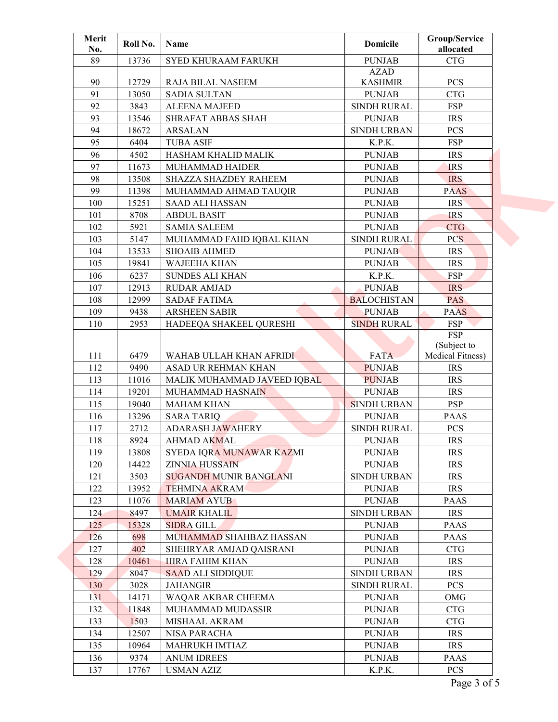| Merit<br>No. | Roll No. | Name                                        | <b>Domicile</b>    | Group/Service<br>allocated |  |
|--------------|----------|---------------------------------------------|--------------------|----------------------------|--|
| 89           | 13736    | SYED KHURAAM FARUKH                         | <b>PUNJAB</b>      | <b>CTG</b>                 |  |
|              |          |                                             | <b>AZAD</b>        |                            |  |
| 90           | 12729    | RAJA BILAL NASEEM                           | <b>KASHMIR</b>     | <b>PCS</b>                 |  |
| 91           | 13050    | <b>SADIA SULTAN</b>                         | <b>PUNJAB</b>      | CTG                        |  |
| 92           | 3843     | <b>ALEENA MAJEED</b>                        | <b>SINDH RURAL</b> | <b>FSP</b>                 |  |
| 93           | 13546    | SHRAFAT ABBAS SHAH                          | <b>PUNJAB</b>      | <b>IRS</b>                 |  |
| 94           | 18672    | <b>ARSALAN</b>                              | <b>SINDH URBAN</b> | <b>PCS</b>                 |  |
| 95           | 6404     | <b>TUBA ASIF</b>                            | K.P.K.             | <b>FSP</b>                 |  |
| 96           | 4502     | HASHAM KHALID MALIK                         | <b>PUNJAB</b>      | <b>IRS</b>                 |  |
| 97           | 11673    | MUHAMMAD HAIDER                             | <b>PUNJAB</b>      | <b>IRS</b>                 |  |
| 98           | 13508    | SHAZZA SHAZDEY RAHEEM                       | <b>PUNJAB</b>      | <b>IRS</b>                 |  |
| 99           | 11398    | MUHAMMAD AHMAD TAUQIR                       | <b>PUNJAB</b>      | <b>PAAS</b>                |  |
| 100          | 15251    | <b>SAAD ALI HASSAN</b>                      | <b>PUNJAB</b>      | <b>IRS</b>                 |  |
| 101          | 8708     | <b>ABDUL BASIT</b>                          | <b>PUNJAB</b>      | <b>IRS</b>                 |  |
| 102          | 5921     | <b>SAMIA SALEEM</b>                         | <b>PUNJAB</b>      | <b>CTG</b>                 |  |
| 103          | 5147     | MUHAMMAD FAHD IQBAL KHAN                    | <b>SINDH RURAL</b> | PCS.                       |  |
| 104          | 13533    | <b>SHOAIB AHMED</b>                         | <b>PUNJAB</b>      | <b>IRS</b>                 |  |
| 105          | 19841    | <b>WAJEEHA KHAN</b>                         | <b>PUNJAB</b>      | <b>IRS</b>                 |  |
| 106          | 6237     | <b>SUNDES ALI KHAN</b>                      | K.P.K.             | <b>FSP</b>                 |  |
| 107          | 12913    | <b>RUDAR AMJAD</b>                          | <b>PUNJAB</b>      | <b>IRS</b>                 |  |
| 108          | 12999    |                                             | <b>BALOCHISTAN</b> | PAS                        |  |
| 109          | 9438     | <b>SADAF FATIMA</b><br><b>ARSHEEN SABIR</b> | <b>PUNJAB</b>      | <b>PAAS</b>                |  |
|              |          |                                             |                    |                            |  |
| 110          | 2953     | HADEEQA SHAKEEL QURESHI                     | <b>SINDH RURAL</b> | <b>FSP</b><br><b>FSP</b>   |  |
|              |          |                                             |                    | (Subject to                |  |
| 111          | 6479     | WAHAB ULLAH KHAN AFRIDI                     | <b>FATA</b>        | Medical Fitness)           |  |
| 112          | 9490     | ASAD UR REHMAN KHAN                         | <b>PUNJAB</b>      | <b>IRS</b>                 |  |
| 113          | 11016    | MALIK MUHAMMAD JAVEED IQBAL                 | <b>PUNJAB</b>      | <b>IRS</b>                 |  |
| 114          | 19201    | MUHAMMAD HASNAIN                            | <b>PUNJAB</b>      | <b>IRS</b>                 |  |
| 115          | 19040    | <b>MAHAM KHAN</b>                           | <b>SINDH URBAN</b> | <b>PSP</b>                 |  |
| 116          | 13296    | <b>SARA TARIQ</b>                           | <b>PUNJAB</b>      | <b>PAAS</b>                |  |
| 117          | 2712     | <b>ADARASH JAWAHERY</b>                     | SINDH RURAL        | <b>PCS</b>                 |  |
| 118          | 8924     | AHMAD AKMAL                                 | <b>PUNJAB</b>      | <b>IRS</b>                 |  |
| 119          | 13808    | SYEDA IQRA MUNAWAR KAZMI                    | <b>PUNJAB</b>      | <b>IRS</b>                 |  |
| 120          | 14422    | <b>ZINNIA HUSSAIN</b>                       | <b>PUNJAB</b>      | <b>IRS</b>                 |  |
| 121          | 3503     | <b>SUGANDH MUNIR BANGLANI</b>               | <b>SINDH URBAN</b> | <b>IRS</b>                 |  |
| 122          | 13952    | <b>TEHMINA AKRAM</b>                        | <b>PUNJAB</b>      | <b>IRS</b>                 |  |
| 123          |          | <b>MARIAM AYUB</b>                          |                    |                            |  |
|              | 11076    |                                             | <b>PUNJAB</b>      | <b>PAAS</b>                |  |
| 124          | 8497     | <b>UMAIR KHALIL</b>                         | <b>SINDH URBAN</b> | <b>IRS</b>                 |  |
| 125          | 15328    | <b>SIDRA GILL</b>                           | <b>PUNJAB</b>      | PAAS                       |  |
| 126          | 698      | MUHAMMAD SHAHBAZ HASSAN                     | <b>PUNJAB</b>      | <b>PAAS</b>                |  |
| 127          | 402      | SHEHRYAR AMJAD QAISRANI                     | <b>PUNJAB</b>      | <b>CTG</b>                 |  |
| 128          | 10461    | <b>HIRA FAHIM KHAN</b>                      | <b>PUNJAB</b>      | <b>IRS</b>                 |  |
| 129          | 8047     | <b>SAAD ALI SIDDIQUE</b>                    | <b>SINDH URBAN</b> | <b>IRS</b>                 |  |
| 130          | 3028     | <b>JAHANGIR</b>                             | <b>SINDH RURAL</b> | <b>PCS</b>                 |  |
| 131          | 14171    | WAQAR AKBAR CHEEMA                          | <b>PUNJAB</b>      | OMG                        |  |
| 132          | 11848    | MUHAMMAD MUDASSIR                           | <b>PUNJAB</b>      | <b>CTG</b>                 |  |
| 133          | 1503     | MISHAAL AKRAM                               | <b>PUNJAB</b>      | <b>CTG</b>                 |  |
| 134          | 12507    | NISA PARACHA                                | <b>PUNJAB</b>      | <b>IRS</b>                 |  |
| 135          | 10964    | MAHRUKH IMTIAZ                              | <b>PUNJAB</b>      | <b>IRS</b>                 |  |
| 136          | 9374     | <b>ANUM IDREES</b>                          | <b>PUNJAB</b>      | <b>PAAS</b>                |  |
| 137          | 17767    | <b>USMAN AZIZ</b>                           | K.P.K.             | PCS                        |  |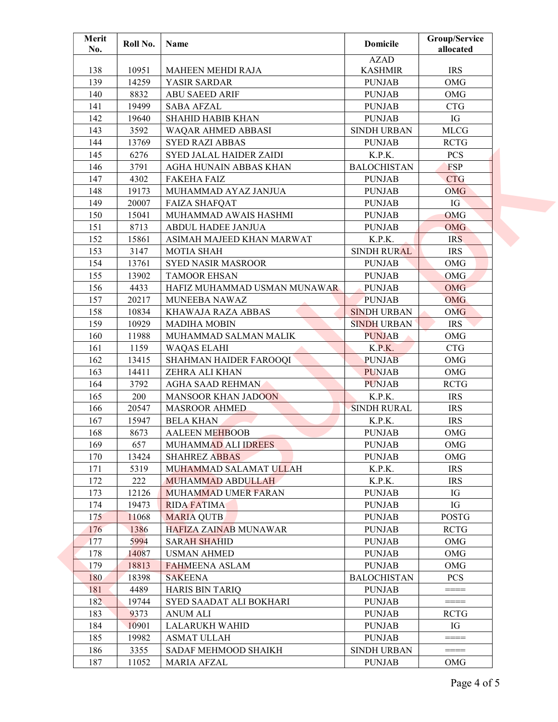| Merit<br>No. | Roll No. | Name                         | <b>Domicile</b>    | Group/Service<br>allocated |  |
|--------------|----------|------------------------------|--------------------|----------------------------|--|
|              |          |                              | <b>AZAD</b>        |                            |  |
| 138          | 10951    | MAHEEN MEHDI RAJA            | <b>KASHMIR</b>     | <b>IRS</b>                 |  |
| 139          | 14259    | YASIR SARDAR                 | <b>PUNJAB</b>      | OMG                        |  |
| 140          | 8832     | <b>ABU SAEED ARIF</b>        | <b>PUNJAB</b>      | OMG                        |  |
| 141          | 19499    | <b>SABA AFZAL</b>            | <b>PUNJAB</b>      | <b>CTG</b>                 |  |
| 142          | 19640    | <b>SHAHID HABIB KHAN</b>     | <b>PUNJAB</b>      | IG                         |  |
| 143          | 3592     | WAQAR AHMED ABBASI           | <b>SINDH URBAN</b> | <b>MLCG</b>                |  |
| 144          | 13769    | <b>SYED RAZI ABBAS</b>       | <b>PUNJAB</b>      | <b>RCTG</b>                |  |
| 145          | 6276     | SYED JALAL HAIDER ZAIDI      | K.P.K.             | <b>PCS</b>                 |  |
| 146          | 3791     | AGHA HUNAIN ABBAS KHAN       | <b>BALOCHISTAN</b> | <b>FSP</b>                 |  |
| 147          | 4302     | <b>FAKEHA FAIZ</b>           | <b>PUNJAB</b>      | <b>CTG</b>                 |  |
| 148          | 19173    | MUHAMMAD AYAZ JANJUA         | <b>PUNJAB</b>      | <b>OMG</b>                 |  |
| 149          | 20007    | <b>FAIZA SHAFQAT</b>         | <b>PUNJAB</b>      | IG                         |  |
| 150          | 15041    | MUHAMMAD AWAIS HASHMI        | <b>PUNJAB</b>      | OMG                        |  |
| 151          | 8713     | ABDUL HADEE JANJUA           | <b>PUNJAB</b>      | <b>OMG</b>                 |  |
| 152          | 15861    | ASIMAH MAJEED KHAN MARWAT    | K.P.K.             | IRS                        |  |
| 153          | 3147     | <b>MOTIA SHAH</b>            | <b>SINDH RURAL</b> | <b>IRS</b>                 |  |
| 154          | 13761    | <b>SYED NASIR MASROOR</b>    | <b>PUNJAB</b>      | OMG                        |  |
| 155          | 13902    | <b>TAMOOR EHSAN</b>          | <b>PUNJAB</b>      | <b>OMG</b>                 |  |
| 156          | 4433     | HAFIZ MUHAMMAD USMAN MUNAWAR | <b>PUNJAB</b>      | <b>OMG</b>                 |  |
| 157          | 20217    | MUNEEBA NAWAZ                | <b>PUNJAB</b>      | <b>OMG</b>                 |  |
| 158          | 10834    | KHAWAJA RAZA ABBAS           | <b>SINDH URBAN</b> | <b>OMG</b>                 |  |
| 159          | 10929    | <b>MADIHA MOBIN</b>          | <b>SINDH URBAN</b> | <b>IRS</b>                 |  |
| 160          | 11988    | MUHAMMAD SALMAN MALIK        | <b>PUNJAB</b>      | OMG                        |  |
| 161          | 1159     | <b>WAQAS ELAHI</b>           | K.P.K.             | CTG                        |  |
| 162          | 13415    | SHAHMAN HAIDER FAROOQI       | <b>PUNJAB</b>      | OMG                        |  |
| 163          | 14411    | ZEHRA ALI KHAN               | <b>PUNJAB</b>      | OMG                        |  |
| 164          | 3792     | <b>AGHA SAAD REHMAN</b>      | <b>PUNJAB</b>      | <b>RCTG</b>                |  |
| 165          | 200      | <b>MANSOOR KHAN JADOON</b>   | K.P.K.             | <b>IRS</b>                 |  |
| 166          | 20547    | <b>MASROOR AHMED</b>         | <b>SINDH RURAL</b> | <b>IRS</b>                 |  |
| 167          | 15947    | <b>BELA KHAN</b>             | K.P.K.             | <b>IRS</b>                 |  |
| 168          | 8673     | <b>AALEEN MEHBOOB</b>        | <b>PUNJAB</b>      | OMG                        |  |
| 169          | 657      | MUHAMMAD ALI IDREES          | <b>PUNJAB</b>      | OMG                        |  |
| 170          | 13424    | <b>SHAHREZ ABBAS</b>         | <b>PUNJAB</b>      | OMG                        |  |
| 171          | 5319     | MUHAMMAD SALAMAT ULLAH       | K.P.K.             | <b>IRS</b>                 |  |
| 172          | 222      | <b>MUHAMMAD ABDULLAH</b>     | K.P.K.             | <b>IRS</b>                 |  |
| 173          | 12126    | MUHAMMAD UMER FARAN          | <b>PUNJAB</b>      | IG                         |  |
| 174          | 19473    | <b>RIDA FATIMA</b>           | <b>PUNJAB</b>      | IG                         |  |
| 175          | 11068    | <b>MARIA QUTB</b>            | <b>PUNJAB</b>      | <b>POSTG</b>               |  |
| 176          | 1386     | <b>HAFIZA ZAINAB MUNAWAR</b> | <b>PUNJAB</b>      | <b>RCTG</b>                |  |
| 177          | 5994     | <b>SARAH SHAHID</b>          | <b>PUNJAB</b>      | OMG                        |  |
| 178          | 14087    | <b>USMAN AHMED</b>           | <b>PUNJAB</b>      | OMG                        |  |
| 179          | 18813    | <b>FAHMEENA ASLAM</b>        | <b>PUNJAB</b>      | OMG                        |  |
| 180          | 18398    | <b>SAKEENA</b>               | <b>BALOCHISTAN</b> | <b>PCS</b>                 |  |
| 181          | 4489     | HARIS BIN TARIQ              | <b>PUNJAB</b>      | $= == == =$                |  |
| 182          | 19744    | SYED SAADAT ALI BOKHARI      | <b>PUNJAB</b>      | $\qquad \qquad == = =$     |  |
| 183          | 9373     | <b>ANUM ALI</b>              | <b>PUNJAB</b>      | <b>RCTG</b>                |  |
| 184          | 10901    | <b>LALARUKH WAHID</b>        | <b>PUNJAB</b>      | IG                         |  |
| 185          | 19982    | <b>ASMAT ULLAH</b>           | <b>PUNJAB</b>      | $= == =$                   |  |
| 186          | 3355     | SADAF MEHMOOD SHAIKH         | <b>SINDH URBAN</b> | $= == =$                   |  |
| 187          | 11052    | <b>MARIA AFZAL</b>           | <b>PUNJAB</b>      | OMG                        |  |
|              |          |                              |                    |                            |  |